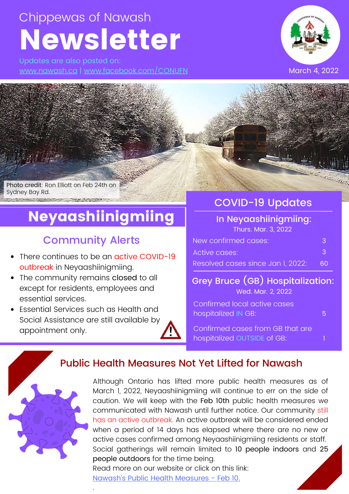# Chippewas of Nawash Newsletter

Updates are also posted on: [www.nawash.ca](http://www.nawash.ca/) | [www.facebook.com/CONUFN](http://www.facebook.com/CONUFN)



Photo credit: Ron Elliott on Feb 24th on Sydney Bay Rd.

# Neyaashiinigmiing

## Community Alerts

- There continues to be an **active COVID-19** outbreak in Neyaashiinigmiing.
- The community remains closed to all except for residents, employees and essential services.
- Essential Services such as Health and Social Assistance are still available by appointment only.

.

## COVID-19 Updates

### In Neyaashiinigmiing: Thurs. Mar. 3, 2022

| New confirmed cases:              |        |
|-----------------------------------|--------|
| Active cases:                     | -3     |
| Resolved cases since Jan 1, 2022: | - 60 - |

### Grey Bruce (GB) Hospitalization: Wed. Mar. 2, 2022

5

Confirmed local active cases hospitalized IN GB:

Confirmed cases from GB that are hospitalized OUTSIDE of GB:

## Public Health Measures Not Yet Lifted for Nawash



Although Ontario has lifted more public health measures as of March 1, 2022, Neyaashiinigmiing will continue to err on the side of caution. We will keep with the Feb 10th public health measures we communicated with Nawash until further notice. Our community still has an active outbreak. An active outbreak will be considered ended when a period of 14 days has elapsed where there are no new or active cases confirmed among Neyaashiinigmiing residents or staff. Social gatherings will remain limited to 10 people indoors and 25 people outdoors for the time being. Read more on our website or click on this link: [Nawash](https://www.nawash.ca/2022/02/10/feb-10-2022-updated-public-health-measures-for-neyaashiinigmiing/)'s Public Health [Measures](https://www.nawash.ca/2022/02/10/feb-10-2022-updated-public-health-measures-for-neyaashiinigmiing/) - Feb 10.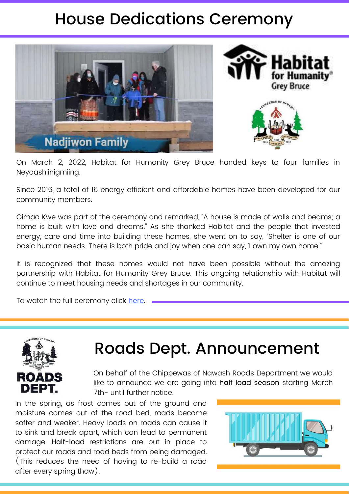# House Dedications Ceremony





On March 2, 2022, Habitat for Humanity Grey Bruce handed keys to four families in Neyaashiinigmiing.

Since 2016, a total of 16 energy efficient and affordable homes have been developed for our community members.

Gimaa Kwe was part of the ceremony and remarked, "A house is made of walls and beams; a home is built with love and dreams." As she thanked Habitat and the people that invested energy, care and time into building these homes, she went on to say, "Shelter is one of our basic human needs. There is both pride and joy when one can say, 'I own my own home.'"

It is recognized that these homes would not have been possible without the amazing partnership with Habitat for Humanity Grey Bruce. This ongoing relationship with Habitat will continue to meet housing needs and shortages in our community.

To watch the full ceremony click [here.](https://youtu.be/BrRYhxD8XLg)



# Roads Dept. Announcement

On behalf of the Chippewas of Nawash Roads Department we would like to announce we are going into half load season starting March 7th- until further notice.

In the spring, as frost comes out of the ground and moisture comes out of the road bed, roads become softer and weaker. Heavy loads on roads can cause it to sink and break apart, which can lead to permanent damage. Half-load restrictions are put in place to protect our roads and road beds from being damaged. (This reduces the need of having to re-build a road after every spring thaw).

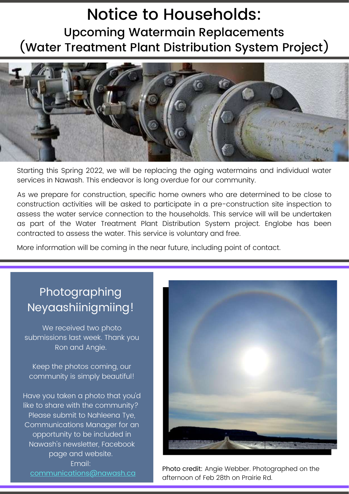# Notice to Households: Upcoming Watermain Replacements (Water Treatment Plant Distribution System Project)



Starting this Spring 2022, we will be replacing the aging watermains and individual water services in Nawash. This endeavor is long overdue for our community.

As we prepare for construction, specific home owners who are determined to be close to construction activities will be asked to participate in a pre-construction site inspection to assess the water service connection to the households. This service will will be undertaken as part of the Water Treatment Plant Distribution System project. Englobe has been contracted to assess the water. This service is voluntary and free.

More information will be coming in the near future, including point of contact.

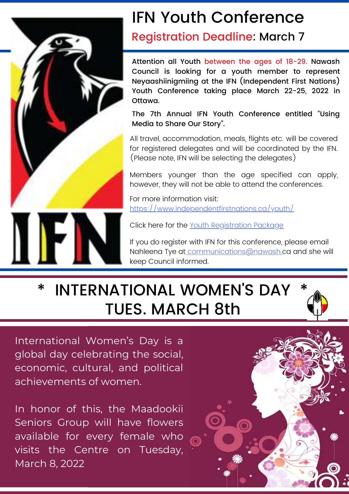

# IFN Youth Conference

## Registration Deadline: March 7

Attention all Youth between the ages of 18-29. Nawash Council is looking for a youth member to represent Neyaashiinigmiing at the IFN (Independent First Nations) Youth Conference taking place March 22-25, 2022 in Ottawa.

The 7th Annual IFN Youth Conference entitled "Using Media to Share Our Story".

All travel, accommodation, meals, flights etc. will be covered for registered delegates and will be coordinated by the IFN. (Please note, IFN will be selecting the delegates)

Members younger than the age specified can apply, however, they will not be able to attend the conferences.

For more information visit: <https://www.independentfirstnations.ca/youth/>

Click here for the Youth [Registration](https://www.independentfirstnations.ca/wp-content/uploads/2022/02/IFN-Youth-Conference-Registration-Package_.pdf) Package

If you do register with IFN for this conference, please email Nahleena Tye at communications@nawash.ca and she will keep Council informed.

# \* INTERNATIONAL WOMEN'S DAY \* TUES. MARCH 8th



In honor of this, the Maadookii Seniors Group will have flowers available for every female who visits the Centre on Tuesday, March 8, 2022

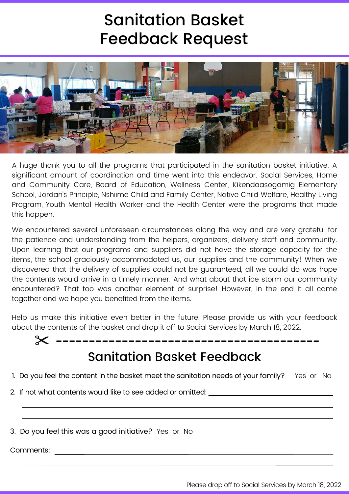# Sanitation Basket Feedback Request



A huge thank you to all the programs that participated in the sanitation basket initiative. A significant amount of coordination and time went into this endeavor. Social Services, Home and Community Care, Board of Education, Wellness Center, Kikendaasogamig Elementary School, Jordan's Principle, Nshiime Child and Family Center, Native Child Welfare, Healthy Living Program, Youth Mental Health Worker and the Health Center were the programs that made this happen.

We encountered several unforeseen circumstances along the way and are very grateful for the patience and understanding from the helpers, organizers, delivery staff and community. Upon learning that our programs and suppliers did not have the storage capacity for the items, the school graciously accommodated us, our supplies and the community! When we discovered that the delivery of supplies could not be guaranteed, all we could do was hope the contents would arrive in a timely manner. And what about that ice storm ourcommunity encountered? That too was another element of surprise! However, in the end it all came together and we hope you benefited from the items.

Help us make this initiative even better in the future. Please provide us with your feedback about the contents of the basket and drop it off to Social Services by March 18, 2022.



- 1. Do you feel the content in the basket meet the sanitation needs of your family? Yes or No
- 2. If not what contents would like to see added or omitted:

3. Do you feel this was a good initiative? Yes or No

Comments: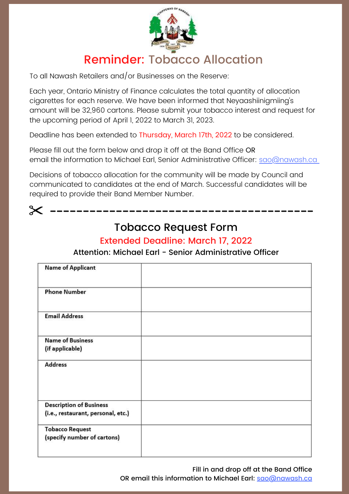

## Reminder: Tobacco Allocation

To all Nawash Retailers and/or Businesses on the Reserve:

Each year, Ontario Ministry of Finance calculates the total quantity of allocation cigarettes for each reserve. We have been informed that Neyaashiinigmiing's amount will be 32,960 cartons. Please submit your tobacco interest and request for the upcoming period of April 1, 2022 to March 31, 2023.

Deadline has been extended to Thursday, March 17th, 2022 to be considered.

Please fill out the form below and drop it off at the Band Office OR email the information to Michael Earl, Senior Administrative Officer: sao@nawash.ca

Decisions of tobacco allocation for the community will be made by Council and communicated to candidates at the end of March. Successful candidates will be required to provide their Band Member Number.

## Tobacco Request Form

-------------

### Extended Deadline: March 17, 2022

Attention: Michael Earl - Senior Administrative Officer

| <b>Name of Applicant</b>                                             |  |
|----------------------------------------------------------------------|--|
| <b>Phone Number</b>                                                  |  |
| <b>Email Address</b>                                                 |  |
| <b>Name of Business</b><br>(if applicable)                           |  |
| <b>Address</b>                                                       |  |
|                                                                      |  |
| <b>Description of Business</b><br>(i.e., restaurant, personal, etc.) |  |
| <b>Tobacco Request</b><br>(specify number of cartons)                |  |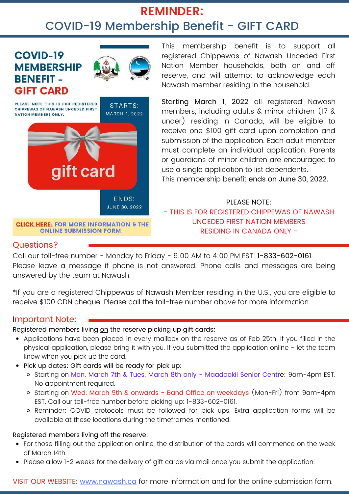## **REMINDER:** COVID-19 Membership Benefit - GIFT CARD



**CLICK HERE: FOR MORE INFORMATION & THE ONLINE SUBMISSION FORM.** 

This membership benefit is to support all registered Chippewas of Nawash Unceded First Nation Member households, both on and off reserve, and will attempt to acknowledge each Nawash member residing in the household.

Starting March 1, 2022 all registered Nawash members, including adults & minor children (17 & under) residing in Canada, will be eligible to receive one \$100 gift card upon completion and submission of the application. Each adult member must complete an individual application. Parents or guardians of minor children are encouraged to use a single application to list dependents. This membership benefit ends on June 30, 2022.

PLEASE NOTE: - THIS IS FOR REGISTERED CHIPPEWAS OF NAWASH UNCEDED FIRST NATION MEMBERS RESIDING IN CANADA ONLY -

### Questions?

Call our toll-free number - Monday to Friday - 9:00 AM to 4:00 PM EST: 1-833-602-0161 Please leave a message if phone is not answered. Phone calls and messages are being answered by the team at Nawash.

\*If you are a registered Chippewas of Nawash Member residing in the U.S., you are eligible to receive \$100 CDN cheque. Please call the toll-free number above for more information.

### Important Note:

Registered members living on the reserve picking up gift cards:

- Applications have been placed in every mailbox on the reserve as of Feb 25th. If you filled in the physical application, please bring it with you. If you submitted the application online - let the team know when you pick up the card.
- Pick up dates: Gift cards will be ready for pick up:
	- o Starting on Mon. March 7th & Tues. March 8th only Maadookii Senior Centre: 9am-4pm EST. No appointment required.
	- o Starting on Wed. March 9th & onwards Band Office on weekdays (Mon-Fri) from 9am-4pm EST. Call our toll-free number before picking up: 1-833-602-0161.
	- Reminder: COVID protocols must be followed for pick ups. Extra application forms will be available at these locations during the timeframes mentioned.

### Registered members living off the reserve:

- For those filling out the application online, the distribution of the cards will commence on the week of March 14th.
- Please allow 1-2 weeks for the delivery of gift cards via mail once you submit the application.

VISIT OUR WEBSITE: [www.nawash.ca](http://www.nawash.ca/) for more information and for the online submission form.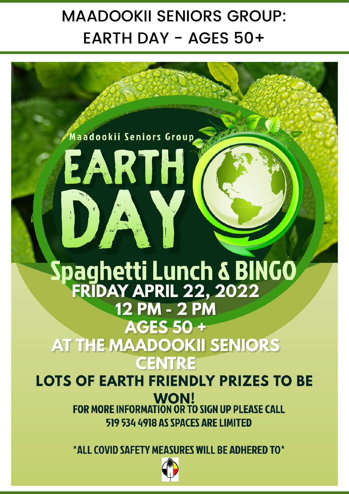# MAADOOKII SENIORS GROUP: EARTH DAY - AGES 50+